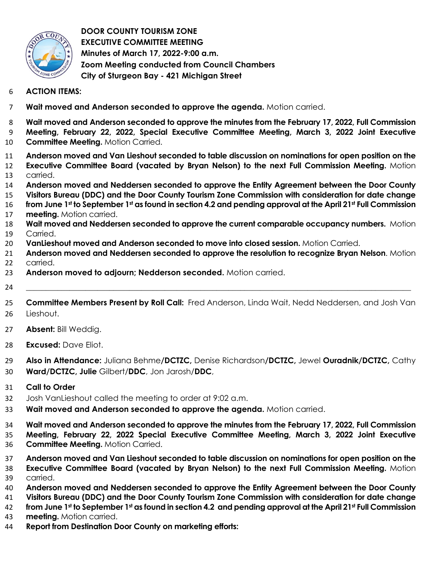

**DOOR COUNTY TOURISM ZONE EXECUTIVE COMMITTEE MEETING Minutes of March 17, 2022-9:00 a.m. Zoom Meeting conducted from Council Chambers City of Sturgeon Bay - 421 Michigan Street** 

- **ACTION ITEMS:**
- **Wait moved and Anderson seconded to approve the agenda.** Motion carried.
- **Wait moved and Anderson seconded to approve the minutes from the February 17, 2022, Full Commission Meeting, February 22, 2022, Special Executive Committee Meeting, March 3, 2022 Joint Executive Committee Meeting.** Motion Carried.
- **Anderson moved and Van Lieshout seconded to table discussion on nominations for open position on the Executive Committee Board (vacated by Bryan Nelson) to the next Full Commission Meeting.** Motion carried.
- **Anderson moved and Neddersen seconded to approve the Entity Agreement between the Door County**
- **Visitors Bureau (DDC) and the Door County Tourism Zone Commission with consideration for date change**  16 from June 1st to September 1st as found in section 4.2 and pending approval at the April 21st Full Commission
- **meeting.** Motion carried.
- **Wait moved and Neddersen seconded to approve the current comparable occupancy numbers.** Motion Carried.
- **VanLieshout moved and Anderson seconded to move into closed session.** Motion Carried.
- **Anderson moved and Neddersen seconded to approve the resolution to recognize Bryan Nelson**. Motion carried.
- **Anderson moved to adjourn; Nedderson seconded.** Motion carried.
- \_\_\_\_\_\_\_\_\_\_\_\_\_\_\_\_\_\_\_\_\_\_\_\_\_\_\_\_\_\_\_\_\_\_\_\_\_\_\_\_\_\_\_\_\_\_\_\_\_\_\_\_\_\_\_\_\_\_\_\_\_\_\_\_\_\_\_\_\_\_\_\_\_\_\_\_\_\_\_\_\_\_\_\_\_\_\_\_\_\_\_\_\_\_\_\_\_
- **Committee Members Present by Roll Call:** Fred Anderson, Linda Wait, Nedd Neddersen, and Josh Van Lieshout.
- **Absent:** Bill Weddig.
- **Excused:** Dave Eliot.
- **Also in Attendance:** Juliana Behme**/DCTZC,** Denise Richardson**/DCTZC,** Jewel **Ouradnik/DCTZC,** Cathy **Ward/DCTZC, Julie** Gilbert/**DDC**, Jon Jarosh/**DDC**,
- **Call to Order**
- Josh VanLieshout called the meeting to order at 9:02 a.m.
- **Wait moved and Anderson seconded to approve the agenda.** Motion carried.
- **Wait moved and Anderson seconded to approve the minutes from the February 17, 2022, Full Commission Meeting, February 22, 2022 Special Executive Committee Meeting, March 3, 2022 Joint Executive**
- **Committee Meeting.** Motion Carried.
- **Anderson moved and Van Lieshout seconded to table discussion on nominations for open position on the Executive Committee Board (vacated by Bryan Nelson) to the next Full Commission Meeting.** Motion carried.
- **Anderson moved and Neddersen seconded to approve the Entity Agreement between the Door County**
- **Visitors Bureau (DDC) and the Door County Tourism Zone Commission with consideration for date change**
- **from June 1st to September 1st as found in section 4.2 and pending approval at the April 21st Full Commission**
- **meeting.** Motion carried.
- **Report from Destination Door County on marketing efforts:**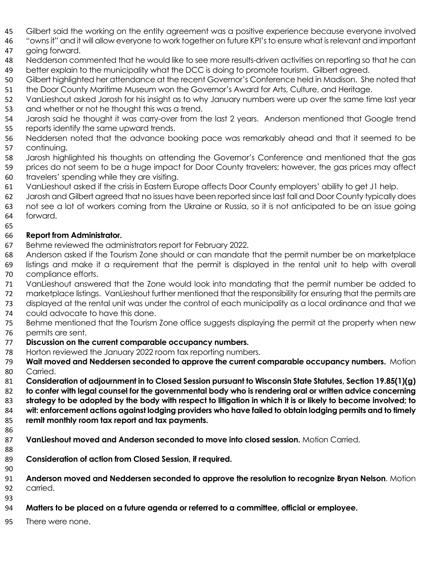- Gilbert said the working on the entity agreement was a positive experience because everyone involved
- "owns it" and it will allow everyone to work together on future KPI's to ensure what is relevant and important going forward.
- Nedderson commented that he would like to see more results-driven activities on reporting so that he can better explain to the municipality what the DCC is doing to promote tourism. Gilbert agreed.
- Gilbert highlighted her attendance at the recent Governor's Conference held in Madison. She noted that
- the Door County Maritime Museum won the Governor's Award for Arts, Culture, and Heritage.
- VanLieshout asked Jarosh for his insight as to why January numbers were up over the same time last year
- 53 and whether or not he thought this was a trend.
- Jarosh said he thought it was carry-over from the last 2 years. Anderson mentioned that Google trend reports identify the same upward trends.
- Neddersen noted that the advance booking pace was remarkably ahead and that it seemed to be continuing.
- Jarosh highlighted his thoughts on attending the Governor's Conference and mentioned that the gas
- prices do not seem to be a huge impact for Door County travelers; however, the gas prices may affect travelers' spending while they are visiting.
- VanLieshout asked if the crisis in Eastern Europe affects Door County employers' ability to get J1 help.
- Jarosh and Gilbert agreed that no issues have been reported since last fall and Door County typically does not see a lot of workers coming from the Ukraine or Russia, so it is not anticipated to be an issue going forward.
- 

## **Report from Administrator.**

- Behme reviewed the administrators report for February 2022.
- Anderson asked if the Tourism Zone should or can mandate that the permit number be on marketplace listings and make it a requirement that the permit is displayed in the rental unit to help with overall compliance efforts.
- VanLieshout answered that the Zone would look into mandating that the permit number be added to
- marketplace listings. VanLieshout further mentioned that the responsibility for ensuring that the permits are
- displayed at the rental unit was under the control of each municipality as a local ordinance and that we
- could advocate to have this done.
- Behme mentioned that the Tourism Zone office suggests displaying the permit at the property when new permits are sent.
- **Discussion on the current comparable occupancy numbers.**
- Horton reviewed the January 2022 room tax reporting numbers.
- **Wait moved and Neddersen seconded to approve the current comparable occupancy numbers.** Motion Carried.
- **Consideration of adjournment in to Closed Session pursuant to Wisconsin State Statutes, Section 19.85(1)(g)**
- **to confer with legal counsel for the governmental body who is rendering oral or written advice concerning**
- **strategy to be adopted by the body with respect to litigation in which it is or likely to become involved; to**
- **wit: enforcement actions against lodging providers who have failed to obtain lodging permits and to timely remit monthly room tax report and tax payments.**
- 

- **VanLieshout moved and Anderson seconded to move into closed session.** Motion Carried.
- **Consideration of action from Closed Session, if required.**
- 
- **Anderson moved and Neddersen seconded to approve the resolution to recognize Bryan Nelson**. Motion carried.
- 
- **Matters to be placed on a future agenda or referred to a committee, official or employee.**
- There were none.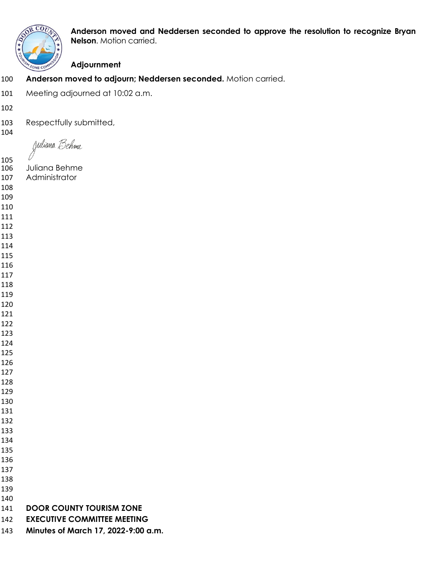

**OR COULD** Anderson moved and Neddersen seconded to approve the resolution to recognize Bryan **Nelson.** Motion carried.

## **Adjournment**

- **Anderson moved to adjourn; Neddersen seconded.** Motion carried.
- Meeting adjourned at 10:02 a.m.
- 
- Respectfully submitted,
- 

Juliana Behme

- Juliana Behme Administrator
- 
- 
- 
- 
- 
- 
- 
- 
- 
- 
- 
- 
- 
- 
- 
- 
- 
- 
- 
- 
- 
- 
- 
- 
- 
- 
- 
- 
- 
- **DOOR COUNTY TOURISM ZONE**
- **EXECUTIVE COMMITTEE MEETING**
- **Minutes of March 17, 2022-9:00 a.m.**